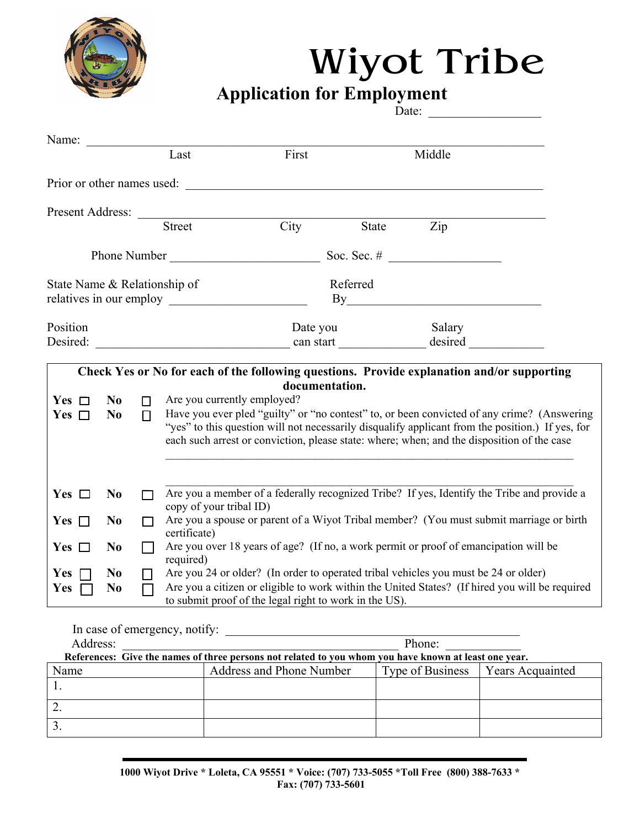

## Wiyot Tribe

**Application for Employment**  Date:

| Name:                        |                                  |        | Last                                                                                                                                                                                           | First                                                  |       | Middle                                                                                     |  |
|------------------------------|----------------------------------|--------|------------------------------------------------------------------------------------------------------------------------------------------------------------------------------------------------|--------------------------------------------------------|-------|--------------------------------------------------------------------------------------------|--|
|                              |                                  |        |                                                                                                                                                                                                |                                                        |       |                                                                                            |  |
|                              |                                  |        |                                                                                                                                                                                                | Prior or other names used:                             |       |                                                                                            |  |
|                              |                                  |        |                                                                                                                                                                                                |                                                        |       |                                                                                            |  |
|                              |                                  |        | <b>Street</b>                                                                                                                                                                                  | City                                                   | State | Zip                                                                                        |  |
|                              |                                  |        |                                                                                                                                                                                                |                                                        |       |                                                                                            |  |
|                              |                                  |        |                                                                                                                                                                                                |                                                        |       |                                                                                            |  |
| State Name & Relationship of |                                  |        |                                                                                                                                                                                                | Referred<br>By                                         |       |                                                                                            |  |
|                              |                                  |        |                                                                                                                                                                                                |                                                        |       |                                                                                            |  |
| Position<br>Desired:         |                                  |        |                                                                                                                                                                                                | Date you                                               |       | Salary                                                                                     |  |
|                              |                                  |        |                                                                                                                                                                                                |                                                        |       |                                                                                            |  |
|                              |                                  |        |                                                                                                                                                                                                |                                                        |       | Check Yes or No for each of the following questions. Provide explanation and/or supporting |  |
| Yes $\Box$                   | N <sub>0</sub>                   | $\Box$ | Are you currently employed?                                                                                                                                                                    | documentation.                                         |       |                                                                                            |  |
| Yes $\Box$                   | N <sub>0</sub>                   | $\Box$ |                                                                                                                                                                                                |                                                        |       | Have you ever pled "guilty" or "no contest" to, or been convicted of any crime? (Answering |  |
|                              |                                  |        | "yes" to this question will not necessarily disqualify applicant from the position.) If yes, for<br>each such arrest or conviction, please state: where; when; and the disposition of the case |                                                        |       |                                                                                            |  |
|                              |                                  |        |                                                                                                                                                                                                |                                                        |       |                                                                                            |  |
|                              |                                  |        |                                                                                                                                                                                                |                                                        |       |                                                                                            |  |
| Yes $\Box$                   | N <sub>0</sub>                   |        | Are you a member of a federally recognized Tribe? If yes, Identify the Tribe and provide a<br>copy of your tribal ID)                                                                          |                                                        |       |                                                                                            |  |
| Yes $\Box$                   | N <sub>0</sub>                   |        | Are you a spouse or parent of a Wiyot Tribal member? (You must submit marriage or birth                                                                                                        |                                                        |       |                                                                                            |  |
| Yes $\Box$                   | N <sub>0</sub>                   |        | certificate)<br>Are you over 18 years of age? (If no, a work permit or proof of emancipation will be                                                                                           |                                                        |       |                                                                                            |  |
|                              |                                  |        | required)                                                                                                                                                                                      |                                                        |       |                                                                                            |  |
| Yes<br>Yes                   | N <sub>0</sub><br>N <sub>0</sub> |        | Are you 24 or older? (In order to operated tribal vehicles you must be 24 or older)<br>Are you a citizen or eligible to work within the United States? (If hired you will be required          |                                                        |       |                                                                                            |  |
|                              |                                  |        |                                                                                                                                                                                                | to submit proof of the legal right to work in the US). |       |                                                                                            |  |

In case of emergency, notify:

| Address:                                                                                              |  | Phone:                   |                  |                         |  |  |  |
|-------------------------------------------------------------------------------------------------------|--|--------------------------|------------------|-------------------------|--|--|--|
| References: Give the names of three persons not related to you whom you have known at least one year. |  |                          |                  |                         |  |  |  |
| Name                                                                                                  |  | Address and Phone Number | Type of Business | <b>Years Acquainted</b> |  |  |  |
|                                                                                                       |  |                          |                  |                         |  |  |  |
|                                                                                                       |  |                          |                  |                         |  |  |  |
|                                                                                                       |  |                          |                  |                         |  |  |  |